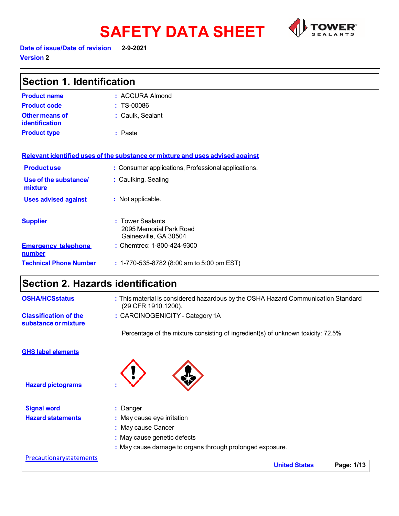# **SAFETY DATA SHEET**<br>Date of issue/Date of revision 2-9-2021



**Version 2** 

| <b>Section 1. Identification</b>                     |                                                                                                          |  |
|------------------------------------------------------|----------------------------------------------------------------------------------------------------------|--|
| <b>Product name</b>                                  | : ACCURA Almond                                                                                          |  |
| <b>Product code</b>                                  | : TS-00086                                                                                               |  |
| <b>Other means of</b><br>identification              | : Caulk, Sealant                                                                                         |  |
| <b>Product type</b>                                  | : Paste                                                                                                  |  |
|                                                      | Relevant identified uses of the substance or mixture and uses advised against                            |  |
| <b>Productuse</b>                                    | : Consumer applications, Professional applications.                                                      |  |
| Use of the substance/<br>mixture                     | : Caulking, Sealing                                                                                      |  |
| <b>Uses advised against</b>                          | : Not applicable.                                                                                        |  |
| <b>Supplier</b>                                      | : Tower Sealants<br>2095 Memorial Park Road<br>Gainesville, GA 30504                                     |  |
| <b>Emergency telephone</b><br>number                 | : Chemtrec: 1-800-424-9300                                                                               |  |
| <b>Technical Phone Number</b>                        | : 1-770-535-8782 (8:00 am to 5:00 pm EST)                                                                |  |
| <b>Section 2. Hazards identification</b>             |                                                                                                          |  |
| <b>OSHA/HCSstatus</b>                                | : This material is considered hazardous by the OSHA Hazard Communication Standard<br>(29 CFR 1910.1200). |  |
| <b>Classification of the</b><br>substance or mixture | : CARCINOGENICITY - Category 1A                                                                          |  |
|                                                      | Percentage of the mixture consisting of ingredient(s) of unknown toxicity: 72.5%                         |  |
| <b>GHS label elements</b>                            |                                                                                                          |  |
| <b>Hazard pictograms</b>                             |                                                                                                          |  |

**Signal word :** Danger

- 
- **Hazard statements** : May cause eye irritation
	- **:** May cause Cancer
	- **:** May cause genetic defects
	- **:** May cause damage to organs through prolonged exposure.

#### **Precautionarystatements**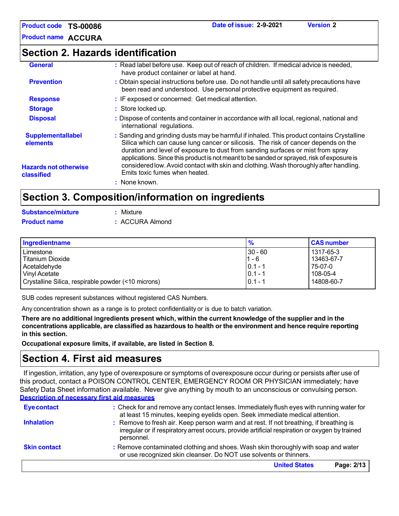**Product name ACCURA**

### **Section 2. Hazards identification**

| <b>General</b>                             | : Read label before use. Keep out of reach of children. If medical advice is needed,<br>have product container or label at hand.                                                                                                                                                                                                                                 |
|--------------------------------------------|------------------------------------------------------------------------------------------------------------------------------------------------------------------------------------------------------------------------------------------------------------------------------------------------------------------------------------------------------------------|
| <b>Prevention</b>                          | : Obtain special instructions before use. Do not handle until all safety precautions have<br>been read and understood. Use personal protective equipment as required.                                                                                                                                                                                            |
| <b>Response</b>                            | : IF exposed or concerned: Get medical attention.                                                                                                                                                                                                                                                                                                                |
| <b>Storage</b>                             | : Store locked up.                                                                                                                                                                                                                                                                                                                                               |
| <b>Disposal</b>                            | : Dispose of contents and container in accordance with all local, regional, national and<br>international regulations.                                                                                                                                                                                                                                           |
| <b>Supplementallabel</b><br>elements       | : Sanding and grinding dusts may be harmful if inhaled. This product contains Crystalline<br>Silica which can cause lung cancer or silicosis. The risk of cancer depends on the<br>duration and level of exposure to dust from sanding surfaces or mist from spray<br>applications. Since this product is not meant to be sanded or sprayed, risk of exposure is |
| <b>Hazards not otherwise</b><br>classified | considered low. Avoid contact with skin and clothing. Wash thoroughly after handling.<br>Emits toxic fumes when heated.                                                                                                                                                                                                                                          |
|                                            | : None known.                                                                                                                                                                                                                                                                                                                                                    |
|                                            | Section 3 Composition/information on ingradiants                                                                                                                                                                                                                                                                                                                 |

### **Section 3. Composition/information on ingredients**

| Substance/mixture   | : Mixture       |
|---------------------|-----------------|
| <b>Product name</b> | : ACCURA Almond |

| Ingredientname                                      | $\frac{9}{6}$ | <b>CAS number</b> |
|-----------------------------------------------------|---------------|-------------------|
| Limestone                                           | $30 - 60$     | 1317-65-3         |
| Titanium Dioxide                                    | 1 - 6         | 13463-67-7        |
| Acetaldehyde                                        | $0.1 - 1$     | 75-07-0           |
| <b>Vinyl Acetate</b>                                | $0.1 - 1$     | $108-05-4$        |
| Crystalline Silica, respirable powder (<10 microns) | $0.1 - 1$     | 14808-60-7        |

SUB codes represent substances without registered CAS Numbers.

Any concentration shown as a range is to protect confidentiality or is due to batch variation.

There are no additional ingredients present which, within the current knowledge of the supplier and in the **concentrations applicable, are classified as hazardous to health or the environment and hence require reporting in this section.**

**Occupational exposure limits, if available, are listed in Section 8.**

### **Section 4. First aid measures**

If ingestion, irritation, any type of overexposure or symptoms of overexposure occur during or persists after use of this product, contact a POISON CONTROL CENTER, EMERGENCY ROOM OR PHYSICIAN immediately; have Safety Data Sheet information available. Never give anything by mouth to an unconscious or convulsing person. **Description of necessary first aid measures**

| <b>Eye contact</b>  | : Check for and remove any contact lenses. Immediately flush eyes with running water for<br>at least 15 minutes, keeping eyelids open. Seek immediate medical attention.                               |
|---------------------|--------------------------------------------------------------------------------------------------------------------------------------------------------------------------------------------------------|
| <b>Inhalation</b>   | : Remove to fresh air. Keep person warm and at rest. If not breathing, if breathing is<br>irregular or if respiratory arrest occurs, provide artificial respiration or oxygen by trained<br>personnel. |
| <b>Skin contact</b> | : Remove contaminated clothing and shoes. Wash skin thoroughly with soap and water<br>or use recognized skin cleanser. Do NOT use solvents or thinners.                                                |
|                     | <b>United States</b><br>Page: 2/13                                                                                                                                                                     |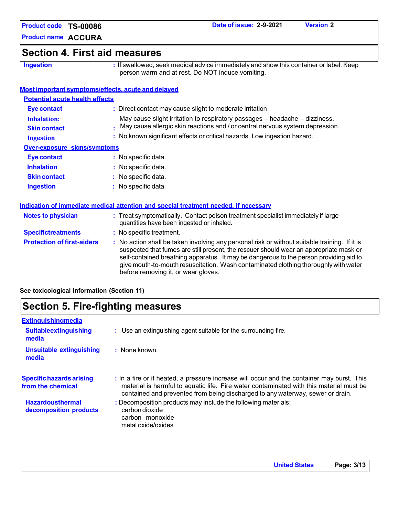**Product name ACCURA**

### **Section 4. First aid measures**

**Ingestion :** If swallowed, seek medical advice immediately and show this container or label. Keep person warm and at rest. Do NOT induce vomiting.

#### **Most important symptoms/effects, acute and delayed**

| <b>Potential acute health effects</b>      |                                                                                                                                                                                                                                                                                                                                                                                                                 |
|--------------------------------------------|-----------------------------------------------------------------------------------------------------------------------------------------------------------------------------------------------------------------------------------------------------------------------------------------------------------------------------------------------------------------------------------------------------------------|
| <b>Eye contact</b>                         | : Direct contact may cause slight to moderate irritation                                                                                                                                                                                                                                                                                                                                                        |
| <b>Inhalation:</b>                         | May cause slight irritation to respiratory passages - headache - dizziness.                                                                                                                                                                                                                                                                                                                                     |
| <b>Skin contact</b>                        | May cause allergic skin reactions and / or central nervous system depression.                                                                                                                                                                                                                                                                                                                                   |
| <b>Ingestion</b>                           | : No known significant effects or critical hazards. Low ingestion hazard.                                                                                                                                                                                                                                                                                                                                       |
| <b>Over-exposure signs/symptoms</b>        |                                                                                                                                                                                                                                                                                                                                                                                                                 |
| <b>Eye contact</b>                         | : No specific data.                                                                                                                                                                                                                                                                                                                                                                                             |
| <b>Inhalation</b>                          | : No specific data.                                                                                                                                                                                                                                                                                                                                                                                             |
| <b>Skin contact</b>                        | : No specific data.                                                                                                                                                                                                                                                                                                                                                                                             |
| <b>Ingestion</b>                           | : No specific data.                                                                                                                                                                                                                                                                                                                                                                                             |
|                                            |                                                                                                                                                                                                                                                                                                                                                                                                                 |
|                                            | Indication of immediate medical attention and special treatment needed, if necessary                                                                                                                                                                                                                                                                                                                            |
| <b>Notes to physician</b>                  | : Treat symptomatically. Contact poison treatment specialist immediately if large<br>quantities have been ingested or inhaled.                                                                                                                                                                                                                                                                                  |
| <b>Specifictreatments</b>                  | : No specific treatment.                                                                                                                                                                                                                                                                                                                                                                                        |
| <b>Protection of first-aiders</b>          | : No action shall be taken involving any personal risk or without suitable training. If it is<br>suspected that fumes are still present, the rescuer should wear an appropriate mask or<br>self-contained breathing apparatus. It may be dangerous to the person providing aid to<br>give mouth-to-mouth resuscitation. Wash contaminated clothing thoroughly with water<br>before removing it, or wear gloves. |
| See toxicological information (Section 11) |                                                                                                                                                                                                                                                                                                                                                                                                                 |

### **Section 5. Fire-fighting measures**

| Extinguishingmedia                                   |                                                                                                                                                                                                                                                                         |
|------------------------------------------------------|-------------------------------------------------------------------------------------------------------------------------------------------------------------------------------------------------------------------------------------------------------------------------|
| <b>Suitableextinguishing</b><br>media                | : Use an extinguishing agent suitable for the surrounding fire.                                                                                                                                                                                                         |
| <b>Unsuitable extinguishing</b><br>media             | : None known.                                                                                                                                                                                                                                                           |
| <b>Specific hazards arising</b><br>from the chemical | : In a fire or if heated, a pressure increase will occur and the container may burst. This<br>material is harmful to aquatic life. Fire water contaminated with this material must be<br>contained and prevented from being discharged to any waterway, sewer or drain. |
| <b>Hazardousthermal</b><br>decomposition products    | : Decomposition products may include the following materials:<br>carbon dioxide<br>carbon monoxide<br>metal oxide/oxides                                                                                                                                                |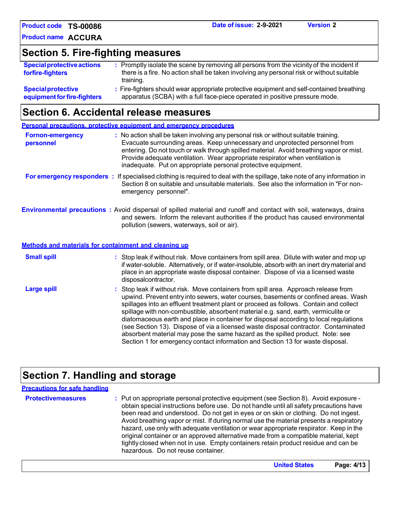**Product code Date of issue: 2-9-2021 Version 2 TS-00086**

**Product name ACCURA**

# **Section 5. Fire-fighting measures**

| <b>Special protective actions</b><br>forfire-fighters | : Promptly isolate the scene by removing all persons from the vicinity of the incident if<br>there is a fire. No action shall be taken involving any personal risk or without suitable<br>training. |
|-------------------------------------------------------|-----------------------------------------------------------------------------------------------------------------------------------------------------------------------------------------------------|
| <b>Special protective</b>                             | : Fire-fighters should wear appropriate protective equipment and self-contained breathing                                                                                                           |
| equipment for fire-fighters                           | apparatus (SCBA) with a full face-piece operated in positive pressure mode.                                                                                                                         |

### **Section 6. Accidental release measures**

|                                      | <b>Personal precautions, protective equipment and emergency procedures</b>                                                                                                                                                                                                                                                                                                                                                                                                                                                                                                                                                                                                                                   |
|--------------------------------------|--------------------------------------------------------------------------------------------------------------------------------------------------------------------------------------------------------------------------------------------------------------------------------------------------------------------------------------------------------------------------------------------------------------------------------------------------------------------------------------------------------------------------------------------------------------------------------------------------------------------------------------------------------------------------------------------------------------|
| <b>Fornon-emergency</b><br>personnel | : No action shall be taken involving any personal risk or without suitable training.<br>Evacuate surrounding areas. Keep unnecessary and unprotected personnel from<br>entering. Do not touch or walk through spilled material. Avoid breathing vapor or mist.<br>Provide adequate ventilation. Wear appropriate respirator when ventilation is<br>inadequate. Put on appropriate personal protective equipment.                                                                                                                                                                                                                                                                                             |
|                                      | For emergency responders : If specialised clothing is required to deal with the spillage, take note of any information in<br>Section 8 on suitable and unsuitable materials. See also the information in "For non-<br>emergency personnel".                                                                                                                                                                                                                                                                                                                                                                                                                                                                  |
|                                      | <b>Environmental precautions</b> : Avoid dispersal of spilled material and runoff and contact with soil, waterways, drains<br>and sewers. Inform the relevant authorities if the product has caused environmental<br>pollution (sewers, waterways, soil or air).                                                                                                                                                                                                                                                                                                                                                                                                                                             |
|                                      | Methods and materials for containment and cleaning up                                                                                                                                                                                                                                                                                                                                                                                                                                                                                                                                                                                                                                                        |
| <b>Small spill</b>                   | : Stop leak if without risk. Move containers from spill area. Dilute with water and mop up<br>if water-soluble. Alternatively, or if water-insoluble, absorb with an inert dry material and<br>place in an appropriate waste disposal container. Dispose of via a licensed waste<br>disposalcontractor.                                                                                                                                                                                                                                                                                                                                                                                                      |
| <b>Large spill</b>                   | : Stop leak if without risk. Move containers from spill area. Approach release from<br>upwind. Prevent entry into sewers, water courses, basements or confined areas. Wash<br>spillages into an effluent treatment plant or proceed as follows. Contain and collect<br>spillage with non-combustible, absorbent material e.g. sand, earth, vermiculite or<br>diatomaceous earth and place in container for disposal according to local regulations<br>(see Section 13). Dispose of via a licensed waste disposal contractor. Contaminated<br>absorbent material may pose the same hazard as the spilled product. Note: see<br>Section 1 for emergency contact information and Section 13 for waste disposal. |

# **Section 7. Handling and storage**

| <b>Precautions for safe handling</b> |                                                                                                                                                                                                                                                                                                                                                                                                                                                                                                                                                                                                                                                                                |
|--------------------------------------|--------------------------------------------------------------------------------------------------------------------------------------------------------------------------------------------------------------------------------------------------------------------------------------------------------------------------------------------------------------------------------------------------------------------------------------------------------------------------------------------------------------------------------------------------------------------------------------------------------------------------------------------------------------------------------|
| <b>Protectivemeasures</b>            | : Put on appropriate personal protective equipment (see Section 8). Avoid exposure -<br>obtain special instructions before use. Do not handle until all safety precautions have<br>been read and understood. Do not get in eyes or on skin or clothing. Do not ingest.<br>Avoid breathing vapor or mist. If during normal use the material presents a respiratory<br>hazard, use only with adequate ventilation or wear appropriate respirator. Keep in the<br>original container or an approved alternative made from a compatible material, kept<br>tightly closed when not in use. Empty containers retain product residue and can be<br>hazardous. Do not reuse container. |

| <b>United States</b> | Page: 4/13 |
|----------------------|------------|
|----------------------|------------|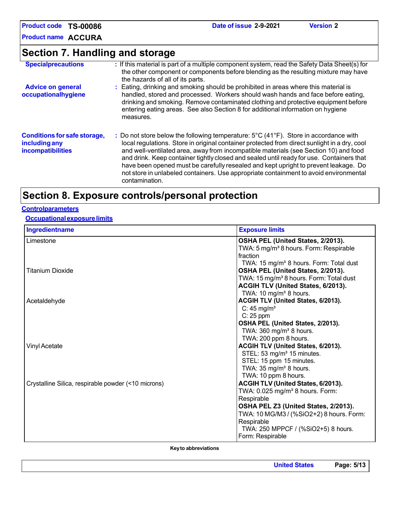**Product code TS-00086**

**Product name ACCURA**

# **Section 7. Handling and storage**

| <b>Specialprecautions</b>                                                 | : If this material is part of a multiple component system, read the Safety Data Sheet(s) for<br>the other component or components before blending as the resulting mixture may have<br>the hazards of all of its parts.                                                                                                                                                                                                                                                                                                                                                    |
|---------------------------------------------------------------------------|----------------------------------------------------------------------------------------------------------------------------------------------------------------------------------------------------------------------------------------------------------------------------------------------------------------------------------------------------------------------------------------------------------------------------------------------------------------------------------------------------------------------------------------------------------------------------|
| <b>Advice on general</b><br>occupationalhygiene                           | : Eating, drinking and smoking should be prohibited in areas where this material is<br>handled, stored and processed. Workers should wash hands and face before eating,<br>drinking and smoking. Remove contaminated clothing and protective equipment before<br>entering eating areas. See also Section 8 for additional information on hygiene<br>measures.                                                                                                                                                                                                              |
| <b>Conditions for safe storage,</b><br>including any<br>incompatibilities | : Do not store below the following temperature: 5°C (41°F). Store in accordance with<br>local regulations. Store in original container protected from direct sunlight in a dry, cool<br>and well-ventilated area, away from incompatible materials (see Section 10) and food<br>and drink. Keep container tightly closed and sealed until ready for use. Containers that<br>have been opened must be carefully resealed and kept upright to prevent leakage. Do<br>not store in unlabeled containers. Use appropriate containment to avoid environmental<br>contamination. |

### **Section 8. Exposure controls/personal protection**

#### **Controlparameters**

#### **Occupationalexposurelimits**

| Ingredientname                                      | <b>Exposure limits</b>                                                  |
|-----------------------------------------------------|-------------------------------------------------------------------------|
| Limestone                                           | OSHA PEL (United States, 2/2013).                                       |
|                                                     | TWA: 5 mg/m <sup>3</sup> 8 hours. Form: Respirable                      |
|                                                     | fraction                                                                |
|                                                     | TWA: 15 mg/m <sup>3</sup> 8 hours. Form: Total dust                     |
| <b>Titanium Dioxide</b>                             | OSHA PEL (United States, 2/2013).                                       |
|                                                     | TWA: 15 mg/m <sup>3</sup> 8 hours. Form: Total dust                     |
|                                                     | ACGIH TLV (United States, 6/2013).<br>TWA: $10 \text{ mg/m}^3$ 8 hours. |
|                                                     | ACGIH TLV (United States, 6/2013).                                      |
| Acetaldehyde                                        | $C: 45$ mg/m <sup>3</sup>                                               |
|                                                     | $C: 25$ ppm                                                             |
|                                                     | OSHA PEL (United States, 2/2013).                                       |
|                                                     | TWA: $360 \text{ mg/m}^3$ 8 hours.                                      |
|                                                     | TWA: 200 ppm 8 hours.                                                   |
| <b>Vinyl Acetate</b>                                | ACGIH TLV (United States, 6/2013).                                      |
|                                                     | STEL: 53 mg/m <sup>3</sup> 15 minutes.                                  |
|                                                     | STEL: 15 ppm 15 minutes.                                                |
|                                                     | TWA: $35 \text{ mg/m}^3$ 8 hours.                                       |
|                                                     | TWA: 10 ppm 8 hours.                                                    |
| Crystalline Silica, respirable powder (<10 microns) | ACGIH TLV (United States, 6/2013).                                      |
|                                                     | TWA: 0.025 mg/m <sup>3</sup> 8 hours. Form:                             |
|                                                     | Respirable                                                              |
|                                                     | OSHA PEL Z3 (United States, 2/2013).                                    |
|                                                     | TWA: 10 MG/M3 / (%SiO2+2) 8 hours. Form:                                |
|                                                     | Respirable                                                              |
|                                                     | TWA: 250 MPPCF / (%SiO2+5) 8 hours.                                     |
|                                                     | Form: Respirable                                                        |

**Keyto abbreviations**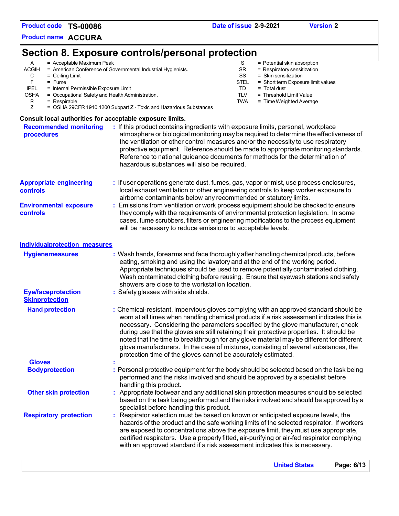**Product code TS-00086**

**Product name ACCURA**

## **Section 8. Exposure controls/personal protection**

A = Acceptable Maximum Peak<br>ACGIH = American Conference of Governmental Industrial Hygienists. SR = Respiratory sensitization CGIH = American Conference of Governmental Industrial Hygienists. SR = Celling Limit C = Ceiling Limit **SS = Skin sensitization**<br>
F = Fume **= Short term Exposure STEL** = Short term Exposure STEL = Short term Exposure F = Fume<br>IPEL = Internal Permissible Exposure Limit<br>IPEL = Internal Permissible Exposure Limit IPEL = Internal Permissible Exposure Limit<br>OSHA = Occupational Safety and Health Administration. TUV = Threshold Limit Value  $=$  Occupational Safety and Health Administration. R = Respirable **TWA** = Time Weighted Average TWA = Time Weighted Average **TWA** = Time Weighted Average Tube of the COSHA 29CFR 1910.1200 Subpart Z - Toxic and Hazardous Substances = OSHA 29CFR 1910.1200 Subpart Z - Toxic and Hazardous Substances

#### **Consult local authorities for acceptable exposure limits.**

|                                                    | <b>United States</b><br>Page: 6/13                                                                                                                                                                                                                                                                                                                                                                                                                 |
|----------------------------------------------------|----------------------------------------------------------------------------------------------------------------------------------------------------------------------------------------------------------------------------------------------------------------------------------------------------------------------------------------------------------------------------------------------------------------------------------------------------|
| <b>Respiratory protection</b>                      | : Respirator selection must be based on known or anticipated exposure levels, the<br>hazards of the product and the safe working limits of the selected respirator. If workers<br>are exposed to concentrations above the exposure limit, they must use appropriate,<br>certified respirators. Use a properly fitted, air-purifying or air-fed respirator complying<br>with an approved standard if a risk assessment indicates this is necessary. |
|                                                    | based on the task being performed and the risks involved and should be approved by a<br>specialist before handling this product.                                                                                                                                                                                                                                                                                                                   |
| <b>Other skin protection</b>                       | performed and the risks involved and should be approved by a specialist before<br>handling this product.<br>: Appropriate footwear and any additional skin protection measures should be selected                                                                                                                                                                                                                                                  |
| <b>Bodyprotection</b>                              | : Personal protective equipment for the body should be selected based on the task being                                                                                                                                                                                                                                                                                                                                                            |
| <b>Gloves</b>                                      | during use that the gloves are still retaining their protective properties. It should be<br>noted that the time to breakthrough for any glove material may be different for different<br>glove manufacturers. In the case of mixtures, consisting of several substances, the<br>protection time of the gloves cannot be accurately estimated.                                                                                                      |
| <b>Hand protection</b>                             | : Chemical-resistant, impervious gloves complying with an approved standard should be<br>worn at all times when handling chemical products if a risk assessment indicates this is<br>necessary. Considering the parameters specified by the glove manufacturer, check                                                                                                                                                                              |
| <b>Eye/faceprotection</b><br><b>Skinprotection</b> | showers are close to the workstation location.<br>: Safety glasses with side shields.                                                                                                                                                                                                                                                                                                                                                              |
| <b>Hygienemeasures</b>                             | : Wash hands, forearms and face thoroughly after handling chemical products, before<br>eating, smoking and using the lavatory and at the end of the working period.<br>Appropriate techniques should be used to remove potentially contaminated clothing.<br>Wash contaminated clothing before reusing. Ensure that eyewash stations and safety                                                                                                    |
| <b>Individualprotection measures</b>               |                                                                                                                                                                                                                                                                                                                                                                                                                                                    |
| <b>Environmental exposure</b><br>controls          | : Emissions from ventilation or work process equipment should be checked to ensure<br>they comply with the requirements of environmental protection legislation. In some<br>cases, fume scrubbers, filters or engineering modifications to the process equipment<br>will be necessary to reduce emissions to acceptable levels.                                                                                                                    |
| <b>Appropriate engineering</b><br><b>controls</b>  | : If user operations generate dust, fumes, gas, vapor or mist, use process enclosures,<br>local exhaust ventilation or other engineering controls to keep worker exposure to<br>airborne contaminants below any recommended or statutory limits.                                                                                                                                                                                                   |
| <b>Recommended monitoring</b><br>procedures        | atmosphere or biological monitoring may be required to determine the effectiveness of<br>the ventilation or other control measures and/or the necessity to use respiratory<br>protective equipment. Reference should be made to appropriate monitoring standards.<br>Reference to national guidance documents for methods for the determination of<br>hazardous substances will also be required.                                                  |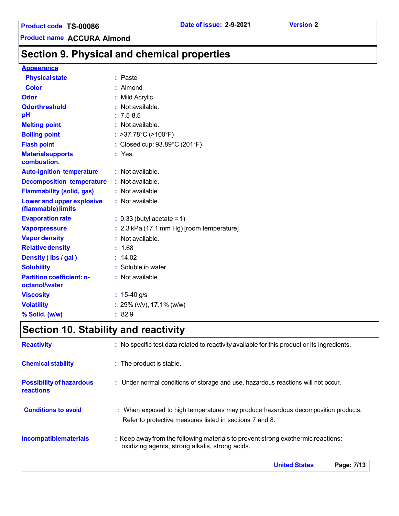**Product name ACCURA Almond**

# **Section 9. Physical and chemical properties**

#### **Appearance**

| <b>Physical state</b>                             | : Paste                                     |
|---------------------------------------------------|---------------------------------------------|
| <b>Color</b>                                      | : Almond                                    |
| Odor                                              | : Mild Acrylic                              |
| <b>Odorthreshold</b>                              | $\cdot$ Not available.                      |
| pH                                                | $: 7.5 - 8.5$                               |
| <b>Melting point</b>                              | : Not available.                            |
| <b>Boiling point</b>                              | : >37.78 $^{\circ}$ C (>100 $^{\circ}$ F)   |
| <b>Flash point</b>                                | : Closed cup: 93.89°C (201°F)               |
| <b>Materialsupports</b><br>combustion.            | $:$ Yes.                                    |
| <b>Auto-ignition temperature</b>                  | : Not available.                            |
| <b>Decomposition temperature</b>                  | : Not available.                            |
| <b>Flammability (solid, gas)</b>                  | : Not available.                            |
| Lower and upper explosive<br>(flammable) limits   | : Not available.                            |
| <b>Evaporation rate</b>                           | $: 0.33$ (butyl acetate = 1)                |
| <b>Vaporpressure</b>                              | $: 2.3$ kPa (17.1 mm Hg) [room temperature] |
| <b>Vapor density</b>                              | : Not available.                            |
| <b>Relative density</b>                           | : 1.68                                      |
| Density (Ibs / gal)                               | : 14.02                                     |
| <b>Solubility</b>                                 | : Soluble in water                          |
| <b>Partition coefficient: n-</b><br>octanol/water | : Not available.                            |
| <b>Viscosity</b>                                  | : $15-40$ g/s                               |
| <b>Volatility</b>                                 | : 29% ( $v/v$ ), 17.1% ( $w/w$ )            |
| % Solid. (w/w)                                    | : 82.9                                      |

# **Section 10. Stability and reactivity**

| <b>Reactivity</b>                                   | : No specific test data related to reactivity available for this product or its ingredients.                                                  |
|-----------------------------------------------------|-----------------------------------------------------------------------------------------------------------------------------------------------|
| <b>Chemical stability</b>                           | : The product is stable.                                                                                                                      |
| <b>Possibility of hazardous</b><br><b>reactions</b> | : Under normal conditions of storage and use, hazardous reactions will not occur.                                                             |
| <b>Conditions to avoid</b>                          | : When exposed to high temperatures may produce hazardous decomposition products.<br>Refer to protective measures listed in sections 7 and 8. |
| <b>Incompatiblematerials</b>                        | : Keep away from the following materials to prevent strong exothermic reactions:<br>oxidizing agents, strong alkalis, strong acids.           |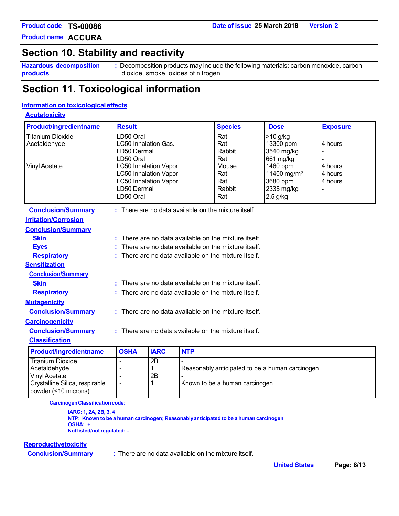**Product code TS-00086**

**Product name ACCURA**

### **Section 10. Stability and reactivity**

**Hazardous decomposition products**

**:** Decomposition products may include the following materials: carbon monoxide, carbon dioxide, smoke, oxides of nitrogen.

### **Section 11. Toxicological information**

### **Information on toxicological effects**

#### **Acutetoxicity**

| <b>Product/ingredientname</b>                                                     | <b>Result</b>                                          |                                                    |            | <b>Species</b>                                       | <b>Dose</b>                                      | <b>Exposure</b> |
|-----------------------------------------------------------------------------------|--------------------------------------------------------|----------------------------------------------------|------------|------------------------------------------------------|--------------------------------------------------|-----------------|
| <b>Titanium Dioxide</b>                                                           | LD50 Oral                                              |                                                    |            | Rat                                                  | $>10$ g/kg                                       |                 |
| Acetaldehyde                                                                      | LC50 Inhalation Gas.                                   |                                                    |            | Rat                                                  | 13300 ppm                                        | 4 hours         |
|                                                                                   | LD50 Dermal<br>LD50 Oral                               |                                                    |            | Rabbit<br>Rat                                        | 3540 mg/kg<br>661 mg/kg                          |                 |
| <b>Vinyl Acetate</b>                                                              | <b>LC50 Inhalation Vapor</b>                           |                                                    |            | Mouse                                                | 1460 ppm                                         | 4 hours         |
|                                                                                   | <b>LC50 Inhalation Vapor</b>                           |                                                    |            | Rat                                                  | 11400 mg/m <sup>3</sup>                          | 4 hours         |
|                                                                                   | <b>LC50 Inhalation Vapor</b>                           |                                                    |            | Rat                                                  | 3680 ppm                                         | 4 hours         |
|                                                                                   | LD50 Dermal                                            |                                                    |            | Rabbit                                               | 2335 mg/kg                                       |                 |
|                                                                                   | LD50 Oral                                              |                                                    |            | Rat                                                  | $2.5$ g/kg                                       | $\blacksquare$  |
| <b>Conclusion/Summary</b>                                                         |                                                        |                                                    |            | : There are no data available on the mixture itself. |                                                  |                 |
| <b>Irritation/Corrosion</b>                                                       |                                                        |                                                    |            |                                                      |                                                  |                 |
| <b>Conclusion/Summary</b>                                                         |                                                        |                                                    |            |                                                      |                                                  |                 |
| <b>Skin</b>                                                                       |                                                        |                                                    |            | There are no data available on the mixture itself.   |                                                  |                 |
| <b>Eyes</b>                                                                       |                                                        | There are no data available on the mixture itself. |            |                                                      |                                                  |                 |
| <b>Respiratory</b>                                                                | There are no data available on the mixture itself.     |                                                    |            |                                                      |                                                  |                 |
| <b>Sensitization</b>                                                              |                                                        |                                                    |            |                                                      |                                                  |                 |
| <b>Conclusion/Summary</b>                                                         |                                                        |                                                    |            |                                                      |                                                  |                 |
| <b>Skin</b>                                                                       |                                                        |                                                    |            | There are no data available on the mixture itself.   |                                                  |                 |
| <b>Respiratory</b>                                                                | $:$ There are no data available on the mixture itself. |                                                    |            |                                                      |                                                  |                 |
| <b>Mutagenicity</b>                                                               |                                                        |                                                    |            |                                                      |                                                  |                 |
| <b>Conclusion/Summary</b>                                                         | : There are no data available on the mixture itself.   |                                                    |            |                                                      |                                                  |                 |
| <b>Carcinogenicity</b>                                                            |                                                        |                                                    |            |                                                      |                                                  |                 |
| : There are no data available on the mixture itself.<br><b>Conclusion/Summary</b> |                                                        |                                                    |            |                                                      |                                                  |                 |
| <b>Classification</b>                                                             |                                                        |                                                    |            |                                                      |                                                  |                 |
| <b>Product/ingredientname</b>                                                     | <b>OSHA</b>                                            | <b>IARC</b>                                        | <b>NTP</b> |                                                      |                                                  |                 |
| <b>Titanium Dioxide</b>                                                           |                                                        | $\overline{2B}$                                    |            |                                                      |                                                  |                 |
| Acetaldehyde                                                                      |                                                        | 1                                                  |            |                                                      | Reasonably anticipated to be a human carcinogen. |                 |
| <b>Vinyl Acetate</b><br>Crystalline Silica, respirable                            |                                                        | 2B<br>1                                            |            | Known to be a human carcinogen.                      |                                                  |                 |

**Carcinogen Classification code:** 

**IARC: 1, 2A, 2B, 3, 4 NTP: Known to be a human carcinogen; Reasonablyanticipated to be a human carcinogen OSHA: + Notlisted/notregulated: -**

#### **Reproductivetoxicity**

powder (<10 microns)

**Conclusion/Summary :** There are no data available on the mixture itself.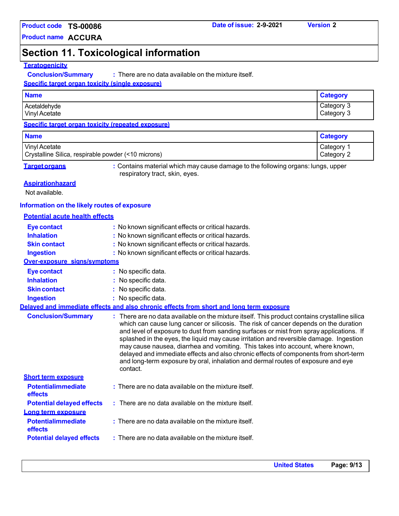### **Product code Date of issue: 2-9-2021 Version 2 TS-00086**

**Product name ACCURA**

# **Section 11. Toxicological information**

### **Teratogenicity**

**Conclusion/Summary :** There are no data available on the mixture itself.

#### **Specific target organ toxicity (single exposure)**

| <b>Name</b>          | Category   |
|----------------------|------------|
| Acetaldehyde         | Category 3 |
| <b>Vinyl Acetate</b> | Category 3 |

#### **Specific target organ toxicity (repeated exposure)**

| <b>Name</b>                                                                 |                                                                                                                                                                                                                                                                                                                                                                                                                                                                                                                                                                                                                                                      | <b>Category</b>          |
|-----------------------------------------------------------------------------|------------------------------------------------------------------------------------------------------------------------------------------------------------------------------------------------------------------------------------------------------------------------------------------------------------------------------------------------------------------------------------------------------------------------------------------------------------------------------------------------------------------------------------------------------------------------------------------------------------------------------------------------------|--------------------------|
| <b>Vinyl Acetate</b><br>Crystalline Silica, respirable powder (<10 microns) |                                                                                                                                                                                                                                                                                                                                                                                                                                                                                                                                                                                                                                                      | Category 1<br>Category 2 |
| <b>Target organs</b>                                                        | : Contains material which may cause damage to the following organs: lungs, upper<br>respiratory tract, skin, eyes.                                                                                                                                                                                                                                                                                                                                                                                                                                                                                                                                   |                          |
| <b>Aspirationhazard</b>                                                     |                                                                                                                                                                                                                                                                                                                                                                                                                                                                                                                                                                                                                                                      |                          |
| Not available.                                                              |                                                                                                                                                                                                                                                                                                                                                                                                                                                                                                                                                                                                                                                      |                          |
| Information on the likely routes of exposure                                |                                                                                                                                                                                                                                                                                                                                                                                                                                                                                                                                                                                                                                                      |                          |
| <b>Potential acute health effects</b>                                       |                                                                                                                                                                                                                                                                                                                                                                                                                                                                                                                                                                                                                                                      |                          |
| <b>Eye contact</b>                                                          | : No known significant effects or critical hazards.                                                                                                                                                                                                                                                                                                                                                                                                                                                                                                                                                                                                  |                          |
| <b>Inhalation</b>                                                           | : No known significant effects or critical hazards.                                                                                                                                                                                                                                                                                                                                                                                                                                                                                                                                                                                                  |                          |
| <b>Skin contact</b>                                                         | : No known significant effects or critical hazards.                                                                                                                                                                                                                                                                                                                                                                                                                                                                                                                                                                                                  |                          |
| <b>Ingestion</b>                                                            | : No known significant effects or critical hazards.                                                                                                                                                                                                                                                                                                                                                                                                                                                                                                                                                                                                  |                          |
| Over-exposure signs/symptoms                                                |                                                                                                                                                                                                                                                                                                                                                                                                                                                                                                                                                                                                                                                      |                          |
| <b>Eye contact</b>                                                          | : No specific data.                                                                                                                                                                                                                                                                                                                                                                                                                                                                                                                                                                                                                                  |                          |
| <b>Inhalation</b>                                                           | No specific data.                                                                                                                                                                                                                                                                                                                                                                                                                                                                                                                                                                                                                                    |                          |
| <b>Skin contact</b>                                                         | : No specific data.                                                                                                                                                                                                                                                                                                                                                                                                                                                                                                                                                                                                                                  |                          |
| <b>Ingestion</b>                                                            | : No specific data.                                                                                                                                                                                                                                                                                                                                                                                                                                                                                                                                                                                                                                  |                          |
|                                                                             | Delaved and immediate effects and also chronic effects from short and long term exposure                                                                                                                                                                                                                                                                                                                                                                                                                                                                                                                                                             |                          |
| <b>Conclusion/Summary</b>                                                   | : There are no data available on the mixture itself. This product contains crystalline silica<br>which can cause lung cancer or silicosis. The risk of cancer depends on the duration<br>and level of exposure to dust from sanding surfaces or mist from spray applications. If<br>splashed in the eyes, the liquid may cause irritation and reversible damage. Ingestion<br>may cause nausea, diarrhea and vomiting. This takes into account, where known,<br>delayed and immediate effects and also chronic effects of components from short-term<br>and long-term exposure by oral, inhalation and dermal routes of exposure and eye<br>contact. |                          |
| <b>Short term exposure</b>                                                  |                                                                                                                                                                                                                                                                                                                                                                                                                                                                                                                                                                                                                                                      |                          |
| <b>Potentialimmediate</b><br>effects                                        | : There are no data available on the mixture itself.                                                                                                                                                                                                                                                                                                                                                                                                                                                                                                                                                                                                 |                          |
| <b>Potential delayed effects</b>                                            | : There are no data available on the mixture itself.                                                                                                                                                                                                                                                                                                                                                                                                                                                                                                                                                                                                 |                          |
| Long term exposure                                                          |                                                                                                                                                                                                                                                                                                                                                                                                                                                                                                                                                                                                                                                      |                          |
| <b>Potentialimmediate</b><br>effects                                        | : There are no data available on the mixture itself.                                                                                                                                                                                                                                                                                                                                                                                                                                                                                                                                                                                                 |                          |
| <b>Potential delayed effects</b>                                            | : There are no data available on the mixture itself.                                                                                                                                                                                                                                                                                                                                                                                                                                                                                                                                                                                                 |                          |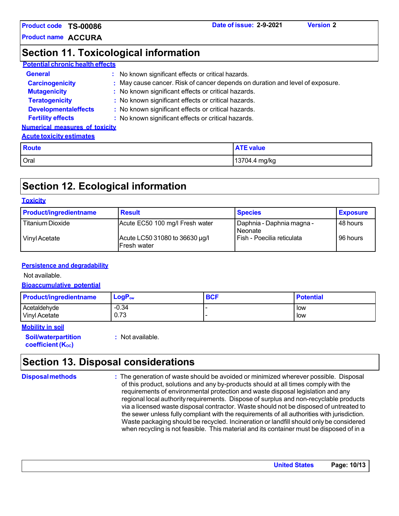**Product code Date of issue: 2-9-2021 Version 2 TS-00086**

**Product name ACCURA**

### **Section 11. Toxicological information**

### **Potential chronic health effects**

| <b>General</b>                        | : No known significant effects or critical hazards.                           |
|---------------------------------------|-------------------------------------------------------------------------------|
| <b>Carcinogenicity</b>                | : May cause cancer. Risk of cancer depends on duration and level of exposure. |
| <b>Mutagenicity</b>                   | : No known significant effects or critical hazards.                           |
| <b>Teratogenicity</b>                 | : No known significant effects or critical hazards.                           |
| <b>Developmentaleffects</b>           | : No known significant effects or critical hazards.                           |
| <b>Fertility effects</b>              | : No known significant effects or critical hazards.                           |
| <b>Numerical measures of toxicity</b> |                                                                               |

#### **Acute toxicity estimates**

| <b>Route</b> | <b>ATE value</b> |
|--------------|------------------|
| Oral         | 13704.4 mg/kg    |

# **Section 12. Ecological information**

#### **Toxicity**

| <b>Product/ingredientname</b> | <b>Result</b>                                         | <b>Species</b>                       | <b>Exposure</b> |
|-------------------------------|-------------------------------------------------------|--------------------------------------|-----------------|
| <b>Titanium Dioxide</b>       | Acute EC50 100 mg/l Fresh water                       | Daphnia - Daphnia magna -<br>Neonate | 48 hours        |
| Vinyl Acetate                 | Acute LC50 31080 to 36630 µg/l<br><b>IFresh water</b> | l Fish - Poecilia reticulata         | 96 hours        |

#### **Persistence and degradability**

Not available.

**Bioaccumulative potential**

| <b>Product/ingredientname</b> | $LogP_{ow}$ | <b>BCF</b> | <b>Potential</b> |
|-------------------------------|-------------|------------|------------------|
| Acetaldehyde                  | $-0.34$     |            | l low            |
| Vinyl Acetate                 | 0.73        |            | low              |

#### **Mobility in soil**

**Soil/waterpartition coefficient** (K<sub>oc</sub>)

**:** Not available.

# **Section 13. Disposal considerations**

**Disposalmethods :** The generation of waste should be avoided or minimized wherever possible. Disposal of this product, solutions and any by-products should at all times comply with the requirements of environmental protection and waste disposal legislation and any regional local authorityrequirements. Dispose of surplus and non-recyclable products via a licensed waste disposal contractor. Waste should not be disposed of untreated to the sewer unless fully compliant with the requirements of all authorities with jurisdiction. Waste packaging should be recycled. Incineration or landfill should only be considered when recycling is not feasible. This material and its container must be disposed of in a

**United States Page: 10/13**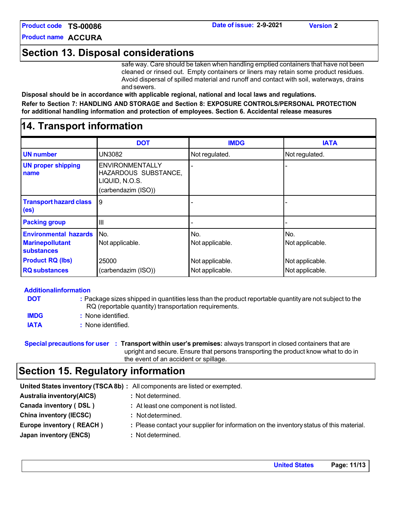**Product code Date of issue: 2-9-2021 TS-00086**

**Product name ACCURA**

### **Section 13. Disposal considerations**

safe way. Care should be taken when handling emptied containers that have not been cleaned or rinsed out. Empty containers or liners may retain some product residues. Avoid dispersal of spilled material and runoff and contact with soil, waterways, drains and sewers.

**Disposal should be in accordance with applicable regional, national and local laws and regulations. Refer to Section 7: HANDLING AND STORAGE and Section 8: EXPOSURE CONTROLS/PERSONAL PROTECTION for additional handling information and protection of employees. Section 6. Accidental release measures**

### **14. Transport information**

|                                                                      | <b>DOT</b>                                                                              | <b>IMDG</b>            | <b>IATA</b>            |
|----------------------------------------------------------------------|-----------------------------------------------------------------------------------------|------------------------|------------------------|
|                                                                      |                                                                                         |                        |                        |
| <b>UN number</b>                                                     | <b>UN3082</b>                                                                           | Not regulated.         | Not regulated.         |
| <b>UN proper shipping</b><br>name                                    | <b>ENVIRONMENTALLY</b><br>HAZARDOUS SUBSTANCE,<br>LIQUID, N.O.S.<br>(carbendazim (ISO)) |                        |                        |
| <b>Transport hazard class</b><br>(e <sub>s</sub> )                   | 9                                                                                       |                        |                        |
| <b>Packing group</b>                                                 | $\mathbf{III}$                                                                          |                        |                        |
| <b>Environmental hazards</b><br><b>Marinepollutant</b><br>substances | No.<br>Not applicable.                                                                  | No.<br>Not applicable. | No.<br>Not applicable. |
| <b>Product RQ (lbs)</b>                                              | 25000                                                                                   | Not applicable.        | Not applicable.        |
| <b>RQ</b> substances                                                 | (carbendazim (ISO))                                                                     | Not applicable.        | Not applicable.        |

| <b>Additionalinformation</b> |                                                                                                                                                                 |  |  |  |  |
|------------------------------|-----------------------------------------------------------------------------------------------------------------------------------------------------------------|--|--|--|--|
| <b>DOT</b>                   | : Package sizes shipped in quantities less than the product reportable quantity are not subject to the<br>RQ (reportable quantity) transportation requirements. |  |  |  |  |
| <b>IMDG</b>                  | : None identified.                                                                                                                                              |  |  |  |  |
| <b>IATA</b>                  | : None identified.                                                                                                                                              |  |  |  |  |

**Special precautions for user : Transport within user's premises:** always transport in closed containers that are upright and secure. Ensure that persons transporting the product know what to do in the event of an accident or spillage.

# **Section 15. Regulatory information**

|                                  | United States inventory (TSCA8b) : All components are listed or exempted.                |
|----------------------------------|------------------------------------------------------------------------------------------|
| <b>Australia inventory(AICS)</b> | : Not determined.                                                                        |
| Canada inventory (DSL)           | : At least one component is not listed.                                                  |
| <b>China inventory (IECSC)</b>   | : Not determined.                                                                        |
| Europe inventory (REACH)         | : Please contact your supplier for information on the inventory status of this material. |
| Japan inventory (ENCS)           | : Not determined.                                                                        |
|                                  |                                                                                          |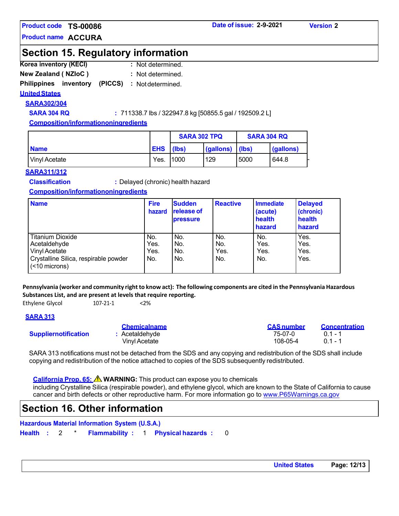### **Product code Date of issue: 2-9-2021 TS-00086**

**Product name ACCURA**

### **Section 15. Regulatory information**

- **Korea inventory (KECI) :** : Not determined.
- **New Zealand ( NZIoC ) :**  : Not determined.

### **Philippines inventory (PICCS) :**  Notdetermined.

### **UnitedStates**

**SARA302/304**

**SARA 304 RQ :** 711338.7 lbs / 322947.8 kg [50855.5 gal / 192509.2 L]

**Composition/informationoningredients**

|                 |            | <b>SARA 302 TPQ</b> |           | <b>SARA 304 RQ</b> |           |
|-----------------|------------|---------------------|-----------|--------------------|-----------|
| <b>Name</b>     | <b>EHS</b> | (Ibs)               | (gallons) | (Ibs)              | (gallons) |
| l Vinvl Acetate | Yes.       | 1000                | 129       | 5000               | 644.8     |

#### **SARA311/312**

**Classification :** Delayed (chronic) health hazard

#### **Composition/informationoningredients**

| <b>Name</b>                                            | <b>Fire</b><br>hazard | <b>Sudden</b><br><b>release of</b><br><b>pressure</b> | <b>Reactive</b> | <b>Immediate</b><br>(acute)<br>health<br>hazard | <b>Delayed</b><br>(chronic)<br>health<br>hazard |
|--------------------------------------------------------|-----------------------|-------------------------------------------------------|-----------------|-------------------------------------------------|-------------------------------------------------|
| <b>Titanium Dioxide</b>                                | No.                   | No.                                                   | No.             | No.                                             | Yes.                                            |
| Acetaldehyde                                           | Yes.                  | No.                                                   | No.             | Yes.                                            | Yes.                                            |
| Vinyl Acetate                                          | Yes.                  | No.                                                   | Yes.            | Yes.                                            | Yes.                                            |
| Crystalline Silica, respirable powder<br>(<10 microns) | No.                   | No.                                                   | No.             | No.                                             | Yes.                                            |

Pennsylvania (worker and community right to know act): The following components are cited in the Pennsylvania Hazardous **Substances List, and are present at levels that require reporting.**

Ethylene Glycol 107-21-1 <2%

### **SARA 313**

|                             | <b>Chemicalname</b> | <b>CAS number</b> | <b>Concentration</b> |
|-----------------------------|---------------------|-------------------|----------------------|
| <b>Suppliernotification</b> | : Acetaldehvde      | 75-07-0           | $01 - 1$             |
|                             | Vinvl Acetate       | 108-05-4          | $0.1 - 1$            |

SARA 313 notifications must not be detached from the SDS and any copying and redistribution of the SDS shall include copying and redistribution of the notice attached to copies of the SDS subsequently redistributed.

**California Prop. 65: WARNING:** This product can expose you to chemicals including Crystalline Silica (respirable powder), and ethylene glycol, which are known to the State of California to cause

cancer and birth defects or other reproductive harm. For more information go to [www.P65Warnings.ca.gov](http://www.p65warnings.ca.gov/)

### **Section 16. Other information**

**Hazardous Material Information System (U.S.A.)**

**Health :** 2 \* **Flammability :** 1 **Physical hazards :** 0